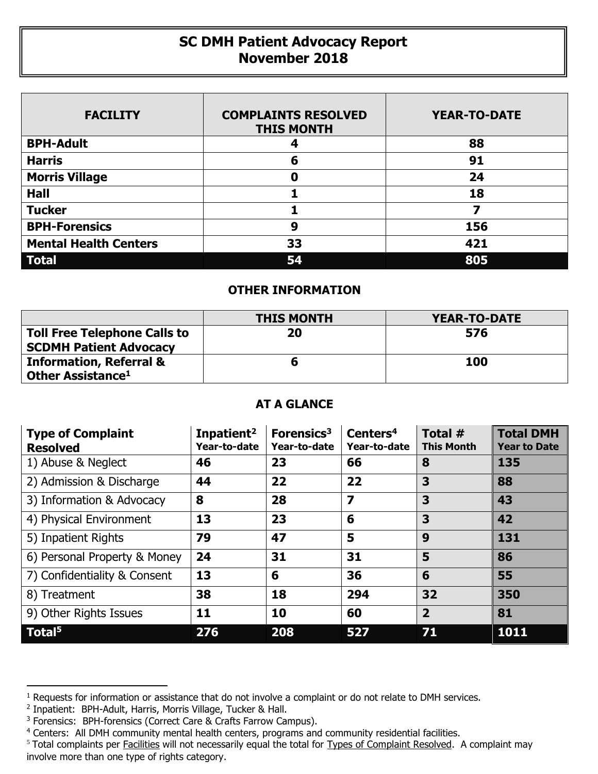## **SC DMH Patient Advocacy Report November 2018**

| <b>FACILITY</b>              | <b>COMPLAINTS RESOLVED</b><br><b>THIS MONTH</b> | <b>YEAR-TO-DATE</b> |
|------------------------------|-------------------------------------------------|---------------------|
| <b>BPH-Adult</b>             |                                                 | 88                  |
| <b>Harris</b>                | 6                                               | 91                  |
| <b>Morris Village</b>        | 0                                               | 24                  |
| <b>Hall</b>                  |                                                 | 18                  |
| <b>Tucker</b>                |                                                 |                     |
| <b>BPH-Forensics</b>         | 9                                               | 156                 |
| <b>Mental Health Centers</b> | 33                                              | 421                 |
| <b>Total</b>                 | 54                                              | 805                 |

## **OTHER INFORMATION**

|                                                                      | <b>THIS MONTH</b> | YEAR-TO-DATE |  |  |
|----------------------------------------------------------------------|-------------------|--------------|--|--|
| <b>Toll Free Telephone Calls to</b><br><b>SCDMH Patient Advocacy</b> | 20                | 576          |  |  |
| <b>Information, Referral &amp;</b>                                   |                   | 100          |  |  |
| Other Assistance <sup>1</sup>                                        |                   |              |  |  |

## **AT A GLANCE**

| <b>Type of Complaint</b><br><b>Resolved</b> | Inpatient <sup>2</sup><br>Year-to-date | Forensics <sup>3</sup><br>Year-to-date | Centers <sup>4</sup><br>Year-to-date | Total #<br><b>This Month</b> | <b>Total DMH</b><br><b>Year to Date</b> |
|---------------------------------------------|----------------------------------------|----------------------------------------|--------------------------------------|------------------------------|-----------------------------------------|
| 1) Abuse & Neglect                          | 46                                     | 23                                     | 66                                   | 8                            | 135                                     |
| 2) Admission & Discharge                    | 44                                     | 22                                     | 22                                   | 3                            | 88                                      |
| 3) Information & Advocacy                   | 8                                      | 28                                     | $\overline{\mathbf{z}}$              | 3                            | 43                                      |
| 4) Physical Environment                     | 13                                     | 23                                     | 6                                    | 3                            | 42                                      |
| 5) Inpatient Rights                         | 79                                     | 47                                     | 5                                    | 9                            | 131                                     |
| 6) Personal Property & Money                | 24                                     | 31                                     | 31                                   | 5                            | 86                                      |
| 7) Confidentiality & Consent                | 13                                     | 6                                      | 36                                   | 6                            | 55                                      |
| 8) Treatment                                | 38                                     | 18                                     | 294                                  | 32                           | 350                                     |
| 9) Other Rights Issues                      | 11                                     | 10                                     | 60                                   | $\overline{2}$               | 81                                      |
| Total <sup>5</sup>                          | 276                                    | 208                                    | 527                                  | 71                           | 1011                                    |

 $\overline{a}$ 

<sup>&</sup>lt;sup>1</sup> Requests for information or assistance that do not involve a complaint or do not relate to DMH services.

<sup>2</sup> Inpatient: BPH-Adult, Harris, Morris Village, Tucker & Hall.

<sup>&</sup>lt;sup>3</sup> Forensics: BPH-forensics (Correct Care & Crafts Farrow Campus).

<sup>&</sup>lt;sup>4</sup> Centers: All DMH community mental health centers, programs and community residential facilities.

<sup>&</sup>lt;sup>5</sup> Total complaints per Facilities will not necessarily equal the total for Types of Complaint Resolved. A complaint may involve more than one type of rights category.